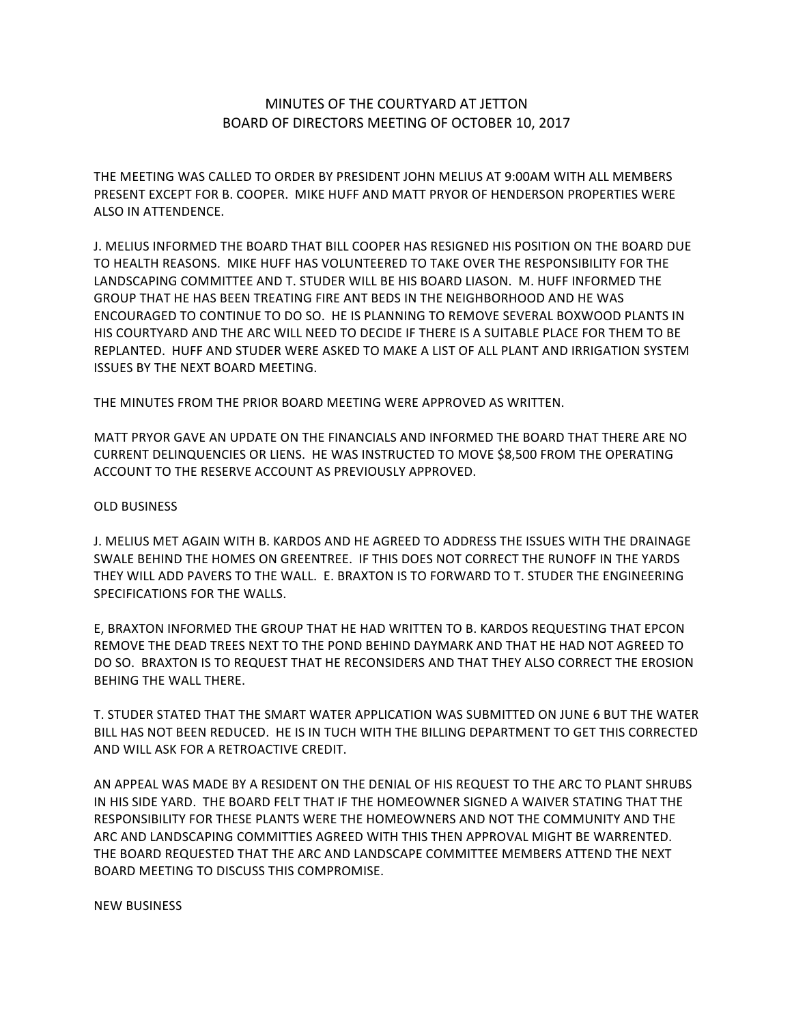## MINUTES OF THE COURTYARD AT JETTON BOARD OF DIRECTORS MEETING OF OCTOBER 10, 2017

THE MEETING WAS CALLED TO ORDER BY PRESIDENT JOHN MELIUS AT 9:00AM WITH ALL MEMBERS PRESENT EXCEPT FOR B. COOPER. MIKE HUFF AND MATT PRYOR OF HENDERSON PROPERTIES WERE ALSO IN ATTENDENCE.

J. MELIUS INFORMED THE BOARD THAT BILL COOPER HAS RESIGNED HIS POSITION ON THE BOARD DUE TO HEALTH REASONS. MIKE HUFF HAS VOLUNTEERED TO TAKE OVER THE RESPONSIBILITY FOR THE LANDSCAPING COMMITTEE AND T. STUDER WILL BE HIS BOARD LIASON. M. HUFF INFORMED THE GROUP THAT HE HAS BEEN TREATING FIRE ANT BEDS IN THE NEIGHBORHOOD AND HE WAS ENCOURAGED TO CONTINUE TO DO SO. HE IS PLANNING TO REMOVE SEVERAL BOXWOOD PLANTS IN HIS COURTYARD AND THE ARC WILL NEED TO DECIDE IF THERE IS A SUITABLE PLACE FOR THEM TO BE REPLANTED. HUFF AND STUDER WERE ASKED TO MAKE A LIST OF ALL PLANT AND IRRIGATION SYSTEM **ISSUES BY THE NEXT BOARD MEETING.** 

THE MINUTES FROM THE PRIOR BOARD MEETING WERE APPROVED AS WRITTEN.

MATT PRYOR GAVE AN UPDATE ON THE FINANCIALS AND INFORMED THE BOARD THAT THERE ARE NO CURRENT DELINQUENCIES OR LIENS. HE WAS INSTRUCTED TO MOVE \$8,500 FROM THE OPERATING ACCOUNT TO THE RESERVE ACCOUNT AS PREVIOUSLY APPROVED.

## **OLD BUSINESS**

J. MELIUS MET AGAIN WITH B. KARDOS AND HE AGREED TO ADDRESS THE ISSUES WITH THE DRAINAGE SWALE BEHIND THE HOMES ON GREENTREE. IF THIS DOES NOT CORRECT THE RUNOFF IN THE YARDS THEY WILL ADD PAVERS TO THE WALL. E. BRAXTON IS TO FORWARD TO T. STUDER THE ENGINEERING SPECIFICATIONS FOR THE WALLS.

E, BRAXTON INFORMED THE GROUP THAT HE HAD WRITTEN TO B. KARDOS REQUESTING THAT EPCON REMOVE THE DEAD TREES NEXT TO THE POND BEHIND DAYMARK AND THAT HE HAD NOT AGREED TO DO SO. BRAXTON IS TO REQUEST THAT HE RECONSIDERS AND THAT THEY ALSO CORRECT THE EROSION **BEHING THE WALL THERE.** 

T. STUDER STATED THAT THE SMART WATER APPLICATION WAS SUBMITTED ON JUNE 6 BUT THE WATER BILL HAS NOT BEEN REDUCED. HE IS IN TUCH WITH THE BILLING DEPARTMENT TO GET THIS CORRECTED AND WILL ASK FOR A RETROACTIVE CREDIT.

AN APPEAL WAS MADE BY A RESIDENT ON THE DENIAL OF HIS REQUEST TO THE ARC TO PLANT SHRUBS IN HIS SIDE YARD. THE BOARD FELT THAT IF THE HOMEOWNER SIGNED A WAIVER STATING THAT THE RESPONSIBILITY FOR THESE PLANTS WERE THE HOMEOWNERS AND NOT THE COMMUNITY AND THE ARC AND LANDSCAPING COMMITTIES AGREED WITH THIS THEN APPROVAL MIGHT BE WARRENTED. THE BOARD REQUESTED THAT THE ARC AND LANDSCAPE COMMITTEE MEMBERS ATTEND THE NEXT BOARD MEETING TO DISCUSS THIS COMPROMISE.

NEW BUSINESS